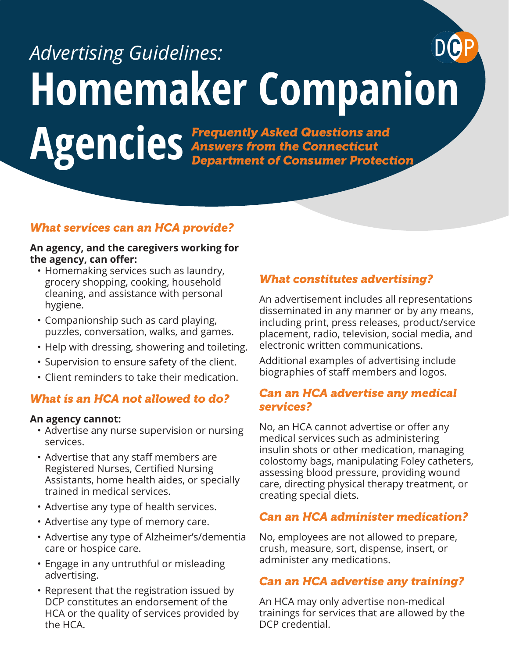# **Homemaker Companion**  AgenCies *Frequently Asked Questions and Agencies Answers from the Connecticut*<br>*Department of Consumer Protect Answers from the Connecticut Advertising Guidelines:*

# *What services can an HCA provide?*

#### **An agency, and the caregivers working for the agency, can offer:**

- Homemaking services such as laundry, grocery shopping, cooking, household cleaning, and assistance with personal hygiene.
- Companionship such as card playing, puzzles, conversation, walks, and games.
- Help with dressing, showering and toileting.
- Supervision to ensure safety of the client.
- Client reminders to take their medication.

#### *What is an HCA not allowed to do?*

#### **An agency cannot:**

- Advertise any nurse supervision or nursing services.
- Advertise that any staff members are Registered Nurses, Certified Nursing Assistants, home health aides, or specially trained in medical services.
- Advertise any type of health services.
- Advertise any type of memory care.
- Advertise any type of Alzheimer's/dementia care or hospice care.
- Engage in any untruthful or misleading advertising.
- Represent that the registration issued by DCP constitutes an endorsement of the HCA or the quality of services provided by the HCA.

### *What constitutes advertising?*

*Department of Consumer Protection*

An advertisement includes all representations disseminated in any manner or by any means, including print, press releases, product/service placement, radio, television, social media, and electronic written communications.

Additional examples of advertising include biographies of staff members and logos.

#### *Can an HCA advertise any medical services?*

No, an HCA cannot advertise or offer any medical services such as administering insulin shots or other medication, managing colostomy bags, manipulating Foley catheters, assessing blood pressure, providing wound care, directing physical therapy treatment, or creating special diets.

#### *Can an HCA administer medication?*

No, employees are not allowed to prepare, crush, measure, sort, dispense, insert, or administer any medications.

#### *Can an HCA advertise any training?*

An HCA may only advertise non-medical trainings for services that are allowed by the DCP credential.